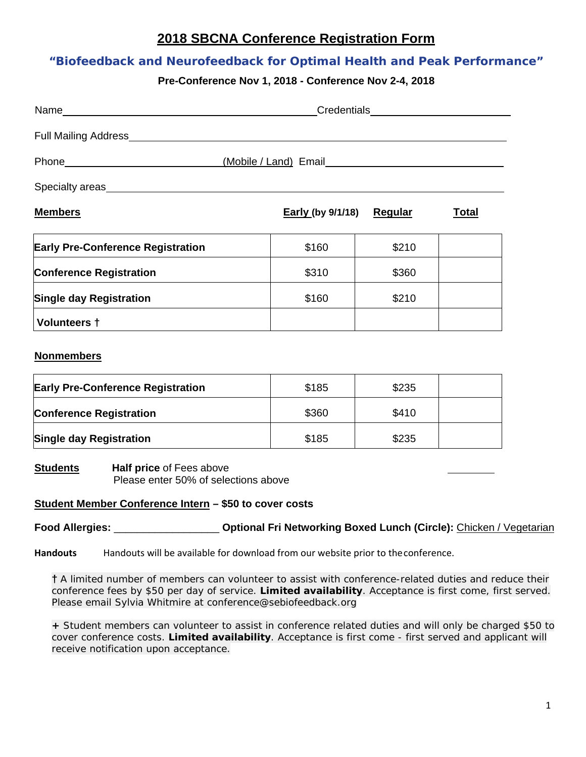# **2018 SBCNA Conference Registration Form**

## **"Biofeedback and Neurofeedback for Optimal Health and Peak Performance"**

### **Pre-Conference Nov 1, 2018 - Conference Nov 2-4, 2018**

| Name experience and the second contract of the second contract of the second contract of the second contract of the second contract of the second contract of the second contract of the second contract of the second contrac | Credentials___________________                                                                                                                                                                                                 |       |              |  |
|--------------------------------------------------------------------------------------------------------------------------------------------------------------------------------------------------------------------------------|--------------------------------------------------------------------------------------------------------------------------------------------------------------------------------------------------------------------------------|-------|--------------|--|
| Full Mailing Address_______________                                                                                                                                                                                            |                                                                                                                                                                                                                                |       |              |  |
|                                                                                                                                                                                                                                | (Mobile / Land) Email Contract Control of the Contract Control of the Contract Control of the Contract Contract Contract Contract Contract Contract Contract Contract Contract Contract Contract Contract Contract Contract Co |       |              |  |
|                                                                                                                                                                                                                                |                                                                                                                                                                                                                                |       |              |  |
| <b>Members</b>                                                                                                                                                                                                                 | Early (by 9/1/18) Regular                                                                                                                                                                                                      |       | <u>Total</u> |  |
| <b>Early Pre-Conference Registration</b>                                                                                                                                                                                       | \$160                                                                                                                                                                                                                          | \$210 |              |  |
| <b>Conference Registration</b>                                                                                                                                                                                                 | \$310                                                                                                                                                                                                                          | \$360 |              |  |
| <b>Single day Registration</b>                                                                                                                                                                                                 | \$160                                                                                                                                                                                                                          | \$210 |              |  |
| <b>Volunteers †</b>                                                                                                                                                                                                            |                                                                                                                                                                                                                                |       |              |  |

#### **Nonmembers**

| <b>Early Pre-Conference Registration</b> | \$185 | \$235 |  |
|------------------------------------------|-------|-------|--|
| <b>Conference Registration</b>           | \$360 | \$410 |  |
| <b>Single day Registration</b>           | \$185 | \$235 |  |

**Students** Half price of Fees above Please enter 50% of selections above

#### **Student Member Conference Intern – \$50 to cover costs**

**Food Allergies:** \_\_\_\_\_\_\_\_\_\_\_\_\_\_\_\_\_\_ **Optional Fri Networking Boxed Lunch (Circle):** Chicken / Vegetarian

**Handouts** Handouts will be available for download from our website prior to theconference.

**†** A limited number of members can volunteer to assist with conference-related duties and reduce their conference fees by \$50 per day of service. **Limited availability**. Acceptance is first come, first served. Please email Sylvia Whitmire at conference@sebiofeedback.org

**+** Student members can volunteer to assist in conference related duties and will only be charged \$50 to cover conference costs. **Limited availability**. Acceptance is first come - first served and applicant will receive notification upon acceptance.